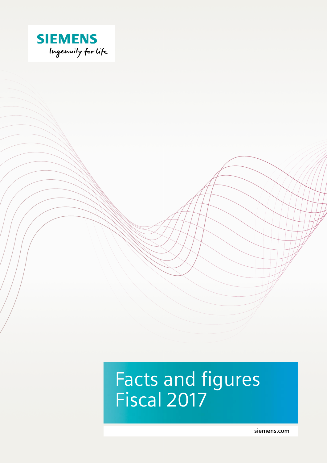

# Facts and figures Fiscal 2017

**[siemens.com](http://siemens.com)**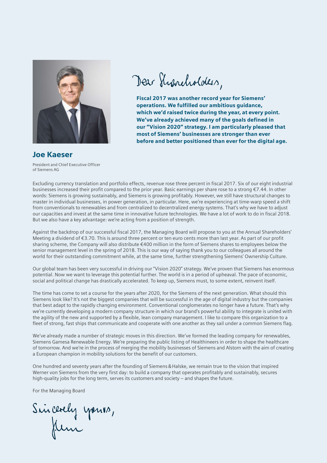

Dear Shancholders,

Fiscal 2017 was another record year for Siemens' operations. We fulfilled our ambitious guidance, which we'd raised twice during the year, at every point. We've already achieved many of the goals defined in our "Vision 2020" strategy. I am particularly pleased that most of Siemens' businesses are stronger than ever before and better positioned than ever for the digital age.

#### Joe Kaeser

President and Chief Executive Officer of Siemens AG

Excluding currency translation and portfolio effects, revenue rose three percent in fiscal 2017. Six of our eight industrial businesses increased their profit compared to the prior year. Basic earnings per share rose to a strong €7.44. In other words: Siemens is growing sustainably, and Siemens is growing profitably. However, we still have structural changes to master in individual businesses, in power generation, in particular. Here, we're experiencing at time-warp speed a shift from conventionals to renewables and from centralized to decentralized energy systems. That's why we have to adjust our capacities and invest at the same time in innovative future technologies. We have a lot of work to do in fiscal 2018. But we also have a key advantage: we're acting from a position of strength.

Against the backdrop of our successful fiscal 2017, the Managing Board will propose to you at the Annual Shareholders' Meeting a dividend of €3.70. This is around three percent or ten euro cents more than last year. As part of our profit sharing scheme, the Company will also distribute €400 million in the form of Siemens shares to employees below the senior management level in the spring of 2018. This is our way of saying thank you to our colleagues all around the world for their outstanding commitment while, at the same time, further strengthening Siemens' Ownership Culture.

Our global team has been very successful in driving our "Vision 2020" strategy. We've proven that Siemens has enormous potential. Now we want to leverage this potential further. The world is in a period of upheaval. The pace of economic, social and political change has drastically accelerated. To keep up, Siemens must, to some extent, reinvent itself.

The time has come to set a course for the years after 2020, for the Siemens of the next generation. What should this Siemens look like? It's not the biggest companies that will be successful in the age of digital industry but the companies that best adapt to the rapidly changing environment. Conventional conglomerates no longer have a future. That's why we're currently developing a modern company structure in which our brand's powerful ability to integrate is united with the agility of the new and supported by a flexible, lean company management. I like to compare this organization to a fleet of strong, fast ships that communicate and cooperate with one another as they sail under a common Siemens flag.

We've already made a number of strategic moves in this direction. We've formed the leading company for renewables, Siemens Gamesa Renewable Energy. We're preparing the public listing of Healthineers in order to shape the healthcare of tomorrow. And we're in the process of merging the mobility businesses of Siemens and Alstom with the aim of creating a European champion in mobility solutions for the benefit of our customers.

One hundred and seventy years after the founding of Siemens&Halske, we remain true to the vision that inspired Werner von Siemens from the very first day: to build a company that operates profitably and sustainably, secures high-quality jobs for the long term, serves its customers and society – and shapes the future.

For the Managing Board

Sincerely yours,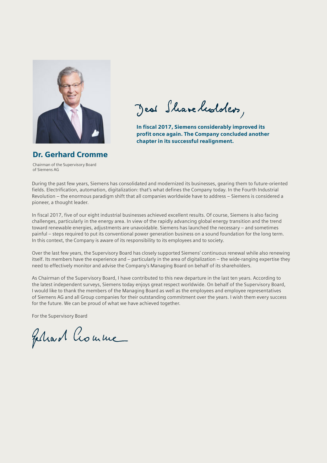

Jeal Share healders,

In fiscal 2017, Siemens considerably improved its profit once again. The Company concluded another chapter in its successful realignment.

# Dr. Gerhard Cromme

Chairman of the Supervisory Board of Siemens AG

During the past few years, Siemens has consolidated and modernized its businesses, gearing them to future-oriented fields. Electrification, automation, digitalization: that's what defines the Company today. In the Fourth Industrial Revolution – the enormous paradigm shift that all companies worldwide have to address – Siemens is considered a pioneer, a thought leader.

In fiscal 2017, five of our eight industrial businesses achieved excellent results. Of course, Siemens is also facing challenges, particularly in the energy area. In view of the rapidly advancing global energy transition and the trend toward renewable energies, adjustments are unavoidable. Siemens has launched the necessary – and sometimes painful – steps required to put its conventional power generation business on a sound foundation for the long term. In this context, the Company is aware of its responsibility to its employees and to society.

Over the last few years, the Supervisory Board has closely supported Siemens' continuous renewal while also renewing itself. Its members have the experience and – particularly in the area of digitalization – the wide-ranging expertise they need to effectively monitor and advise the Company's Managing Board on behalf of its shareholders.

As Chairman of the Supervisory Board, I have contributed to this new departure in the last ten years. According to the latest independent surveys, Siemens today enjoys great respect worldwide. On behalf of the Supervisory Board, I would like to thank the members of the Managing Board as well as the employees and employee representatives of Siemens AG and all Group companies for their outstanding commitment over the years. I wish them every success for the future. We can be proud of what we have achieved together.

For the Supervisory Board

Feliard Crouwe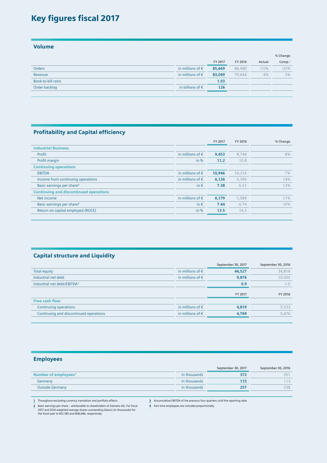## Key figures fiscal 2017

Volume

|                    |                           |         |         |         | % Change           |
|--------------------|---------------------------|---------|---------|---------|--------------------|
|                    |                           | FY 2017 | FY 2016 | Actual  | Comp. <sup>1</sup> |
| Orders             | in millions of $\epsilon$ | 85,669  | 86,480  | $(1)$ % | $(2)\%$            |
| Revenue            | in millions of $\epsilon$ | 83,049  | 79.644  | 4%      | 3%                 |
| Book-to-bill ratio |                           | 1.03    |         |         |                    |
| Order backlog      | in billions of $\epsilon$ | 126     |         |         |                    |
|                    |                           |         |         |         |                    |

#### Profitability and Capital efficiency

|                                               |                           | FY 2017 | FY 2016 | % Change |
|-----------------------------------------------|---------------------------|---------|---------|----------|
| <b>Industrial Business</b>                    |                           |         |         |          |
| Profit                                        | in millions of $\epsilon$ | 9,453   | 8.744   | 8%       |
| Profit margin                                 | in $%$                    | 11.2    | 10.8    |          |
| <b>Continuing operations</b>                  |                           |         |         |          |
| <b>EBITDA</b>                                 | in millions of $\epsilon$ | 10,946  | 10,216  | 7%       |
| Income from continuing operations             | in millions of $\epsilon$ | 6,126   | 5,396   | 14%      |
| Basic earnings per share <sup>2</sup>         | in $\epsilon$             | 7.38    | 6.51    | 13%      |
| <b>Continuing and discontinued operations</b> |                           |         |         |          |
| Net income                                    | in millions of $\epsilon$ | 6.179   | 5.584   | 11%      |
| Basic earnings per share <sup>2</sup>         | in $\epsilon$             | 7.44    | 6.74    | 10%      |
| Return on capital employed (ROCE)             | in $%$                    | 13.5    | 14.3    |          |
|                                               |                           |         |         |          |

#### Capital structure and Liquidity

|                                         |                           | September 30, 2017 | September 30, 2016 |
|-----------------------------------------|---------------------------|--------------------|--------------------|
| Total equity                            | in millions of $\epsilon$ | 44,527             | 34,816             |
| Industrial net debt                     | in millions of $\epsilon$ | 9,876              | 10,505             |
| Industrial net debt/EBITDA <sup>3</sup> |                           | 0.9                | 1.0                |
|                                         |                           | FY 2017            | FY 2016            |
| <b>Free cash flow</b>                   |                           |                    |                    |
| Continuing operations                   | in millions of $\epsilon$ | 4,819              | 5,533              |
| Continuing and discontinued operations  | in millions of $\epsilon$ | 4.769              | 5.476              |
|                                         |                           |                    |                    |

#### Employees

|                                  |              | September 30, 2017 | September 30, 2016 |
|----------------------------------|--------------|--------------------|--------------------|
| Number of employees <sup>4</sup> | in thousands | 372                |                    |
| Germany                          | in thousands | 115                |                    |
| <b>Outside Germany</b>           | in thousands | 257                | 238                |
|                                  |              |                    |                    |

**1** Throughout excluding currency translation and portfolio effects.

**3** Accumulative EBITDA of the previous four quarters until the reporting date.

**2** Basic earnings per share – attributable to shareholders of Siemens AG. For fiscal 2017 and 2016 weighted average shares outstanding (basic) (in thousands) for the fiscal year to 812,180 and 808,686, respectively.

**4** Part-time employees are included proportionally.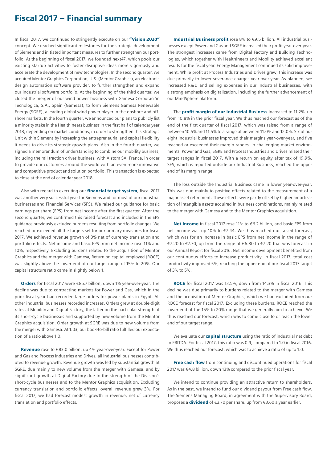## Fiscal 2017 – Financial summary

In fiscal 2017, we continued to stringently execute on our "Vision 2020" concept. We reached significant milestones for the strategic development of Siemens and initiated important measures to further strengthen our portfolio. At the beginning of fiscal 2017, we founded next47, which pools our existing startup activities to foster disruptive ideas more vigorously and accelerate the development of new technologies. In the second quarter, we acquired Mentor Graphics Corporation, U.S. (Mentor Graphics), an electronic design automation software provider, to further strengthen and expand our industrial software portfolio. At the beginning of the third quarter, we closed the merger of our wind power business with Gamesa Corporación Tecnológica, S.A., Spain (Gamesa), to form Siemens Gamesa Renewable Energy (SGRE), a leading global wind power player in the onshore and offshore markets. In the fourth quarter, we announced our plans to publicly list a minority stake in the Healthineers business in the first half of calendar year 2018, depending on market conditions, in order to strengthen this Strategic Unit within Siemens by increasing the entrepreneurial and capital flexibility it needs to drive its strategic growth plans. Also in the fourth quarter, we signed a memorandum of understanding to combine our mobility business, including the rail traction drives business, with Alstom SA, France, in order to provide our customers around the world with an even more innovative and competitive product and solution portfolio. This transaction is expected to close at the end of calendar year 2018.

Also with regard to executing our *financial target system*, fiscal 2017 was another very successful year for Siemens and for most of our industrial businesses and Financial Services (SFS). We raised our guidance for basic earnings per share (EPS) from net income after the first quarter. After the second quarter, we confirmed this raised forecast and included in the EPS guidance previously excluded burdens resulting from portfolio changes. We reached or exceeded all the targets set for our primary measures for fiscal 2017. We achieved revenue growth of 3% net of currency translation and portfolio effects. Net income and basic EPS from net income rose 11% and 10%, respectively. Excluding burdens related to the acquisition of Mentor Graphics and the merger with Gamesa, Return on capital employed (ROCE) was slightly above the lower end of our target range of 15% to 20%. Our capital structure ratio came in slightly below 1.

Orders for fiscal 2017 were €85.7 billion, down 1% year-over-year. The decline was due to contracting markets for Power and Gas, which in the prior fiscal year had recorded large orders for power plants in Egypt. All other industrial businesses recorded increases. Orders grew at double-digit rates at Mobility and Digital Factory, the latter on the particular strength of its short-cycle businesses and supported by new volume from the Mentor Graphics acquisition. Order growth at SGRE was due to new volume from the merger with Gamesa. At 1.03, our book-to-bill ratio fulfilled our expectation of a ratio above 1.0.

Revenue rose to €83.0 billion, up 4% year-over-year. Except for Power and Gas and Process Industries and Drives, all industrial businesses contributed to revenue growth. Revenue growth was led by substantial growth at SGRE, due mainly to new volume from the merger with Gamesa, and by significant growth at Digital Factory due to the strength of the Division's short-cycle businesses and to the Mentor Graphics acquisition. Excluding currency translation and portfolio effects, overall revenue grew 3%. For fiscal 2017, we had forecast modest growth in revenue, net of currency translation and portfolio effects.

Industrial Business profit rose 8% to €9.5 billion. All industrial businesses except Power and Gas and SGRE increased their profit year-over-year. The strongest increases came from Digital Factory and Building Technologies, which together with Healthineers and Mobility achieved excellent results for the fiscal year. Energy Management continued its solid improvement. While profit at Process Industries and Drives grew, this increase was due primarily to lower severance charges year-over-year. As planned, we increased R&D and selling expenses in our industrial businesses, with a strong emphasis on digitalization, including the further advancement of our MindSphere platform.

The **profit margin of our Industrial Business** increased to 11.2%, up from 10.8% in the prior fiscal year. We thus reached our forecast as of the end of the first quarter of fiscal 2017, which was raised from a range of between 10.5% and 11.5% to a range of between 11.0% and 12.0%. Six of our eight industrial businesses improved their margins year-over-year, and five reached or exceeded their margin ranges. In challenging market environments, Power and Gas, SGRE and Process Industries and Drives missed their target ranges in fiscal 2017. With a return on equity after tax of 19.9%, SFS, which is reported outside our Industrial Business, reached the upper end of its margin range.

The loss outside the Industrial Business came in lower year-over-year. This was due mainly to positive effects related to the measurement of a major asset retirement. These effects were partly offset by higher amortization of intangible assets acquired in business combinations, mainly related to the merger with Gamesa and to the Mentor Graphics acquisition.

Net income in fiscal 2017 rose 11% to €6.2 billion, and basic EPS from net income was up 10% to €7.44. We thus reached our raised forecast, which was for an increase in basic EPS from net income in the range of €7.20 to €7.70, up from the range of €6.80 to €7.20 that was forecast in our Annual Report for fiscal 2016. Net income development benefited from our continuous efforts to increase productivity. In fiscal 2017, total cost productivity improved 5%, reaching the upper end of our fiscal 2017 target of 3% to 5%.

ROCE for fiscal 2017 was 13.5%, down from 14.3% in fiscal 2016. This decline was due primarily to burdens related to the merger with Gamesa and the acquisition of Mentor Graphics, which we had excluded from our ROCE forecast for fiscal 2017. Excluding these burdens, ROCE reached the lower end of the 15% to 20% range that we generally aim to achieve. We thus reached our forecast, which was to come close to or reach the lower end of our target range.

We evaluate our **capital structure** using the ratio of industrial net debt to EBITDA. For fiscal 2017, this ratio was 0.9, compared to 1.0 in fiscal 2016. We thus reached our forecast, which was to achieve a ratio of up to 1.0.

Free cash flow from continuing and discontinued operations for fiscal 2017 was €4.8 billion, down 13% compared to the prior fiscal year.

We intend to continue providing an attractive return to shareholders. As in the past, we intend to fund our dividend payout from Free cash flow. The Siemens Managing Board, in agreement with the Supervisory Board, proposes a **dividend** of €3.70 per share, up from €3.60 a year earlier.